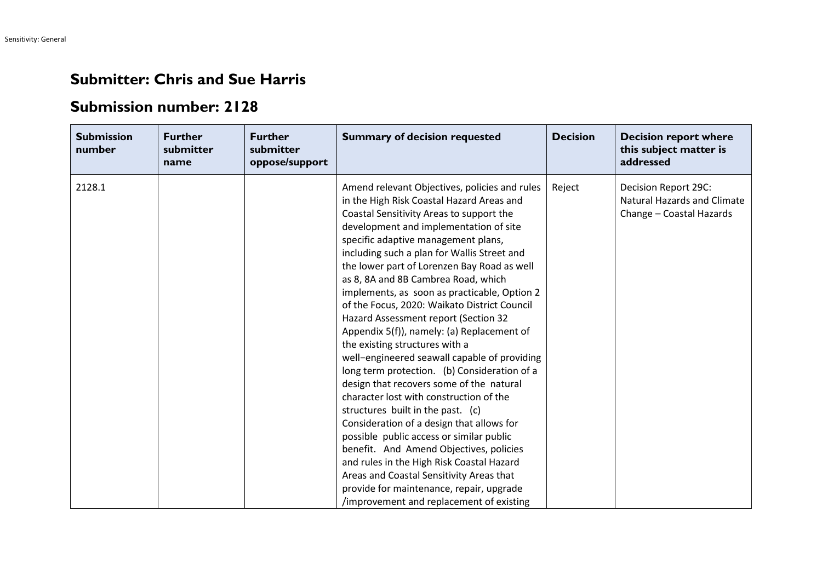## **Submitter: Chris and Sue Harris**

## **Submission number: 2128**

| <b>Submission</b><br>number | <b>Further</b><br>submitter<br>name | <b>Further</b><br>submitter<br>oppose/support | <b>Summary of decision requested</b>                                                                                                                                                                                                                                                                                                                                                                                                                                                                                                                                                                                                                                                                                                                                                                                                                                                                                                                                                                                                                                                                                                  | <b>Decision</b> | <b>Decision report where</b><br>this subject matter is<br>addressed                    |
|-----------------------------|-------------------------------------|-----------------------------------------------|---------------------------------------------------------------------------------------------------------------------------------------------------------------------------------------------------------------------------------------------------------------------------------------------------------------------------------------------------------------------------------------------------------------------------------------------------------------------------------------------------------------------------------------------------------------------------------------------------------------------------------------------------------------------------------------------------------------------------------------------------------------------------------------------------------------------------------------------------------------------------------------------------------------------------------------------------------------------------------------------------------------------------------------------------------------------------------------------------------------------------------------|-----------------|----------------------------------------------------------------------------------------|
| 2128.1                      |                                     |                                               | Amend relevant Objectives, policies and rules<br>in the High Risk Coastal Hazard Areas and<br>Coastal Sensitivity Areas to support the<br>development and implementation of site<br>specific adaptive management plans,<br>including such a plan for Wallis Street and<br>the lower part of Lorenzen Bay Road as well<br>as 8, 8A and 8B Cambrea Road, which<br>implements, as soon as practicable, Option 2<br>of the Focus, 2020: Waikato District Council<br>Hazard Assessment report (Section 32<br>Appendix 5(f)), namely: (a) Replacement of<br>the existing structures with a<br>well-engineered seawall capable of providing<br>long term protection. (b) Consideration of a<br>design that recovers some of the natural<br>character lost with construction of the<br>structures built in the past. (c)<br>Consideration of a design that allows for<br>possible public access or similar public<br>benefit. And Amend Objectives, policies<br>and rules in the High Risk Coastal Hazard<br>Areas and Coastal Sensitivity Areas that<br>provide for maintenance, repair, upgrade<br>/improvement and replacement of existing | Reject          | Decision Report 29C:<br><b>Natural Hazards and Climate</b><br>Change - Coastal Hazards |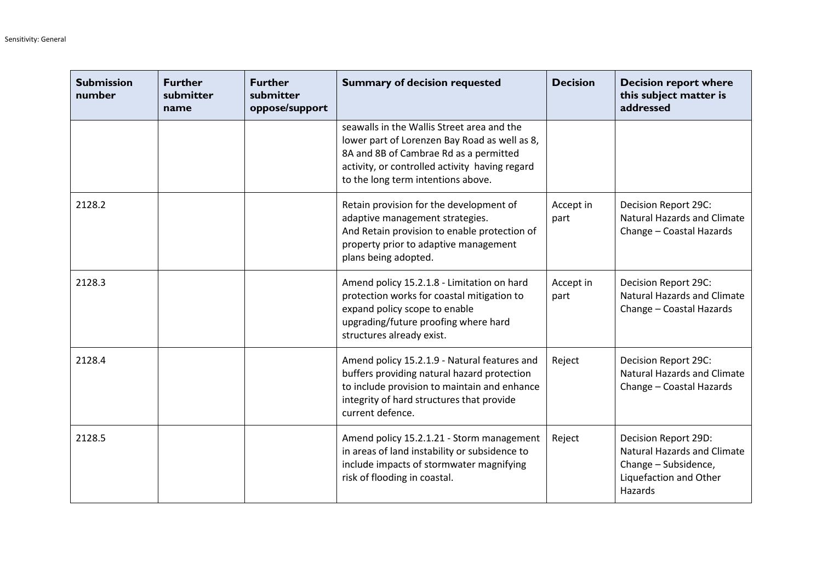| <b>Submission</b><br>number | <b>Further</b><br>submitter<br>name | <b>Further</b><br>submitter<br>oppose/support | <b>Summary of decision requested</b>                                                                                                                                                                                          | <b>Decision</b>   | <b>Decision report where</b><br>this subject matter is<br>addressed                                                     |
|-----------------------------|-------------------------------------|-----------------------------------------------|-------------------------------------------------------------------------------------------------------------------------------------------------------------------------------------------------------------------------------|-------------------|-------------------------------------------------------------------------------------------------------------------------|
|                             |                                     |                                               | seawalls in the Wallis Street area and the<br>lower part of Lorenzen Bay Road as well as 8,<br>8A and 8B of Cambrae Rd as a permitted<br>activity, or controlled activity having regard<br>to the long term intentions above. |                   |                                                                                                                         |
| 2128.2                      |                                     |                                               | Retain provision for the development of<br>adaptive management strategies.<br>And Retain provision to enable protection of<br>property prior to adaptive management<br>plans being adopted.                                   | Accept in<br>part | Decision Report 29C:<br><b>Natural Hazards and Climate</b><br>Change - Coastal Hazards                                  |
| 2128.3                      |                                     |                                               | Amend policy 15.2.1.8 - Limitation on hard<br>protection works for coastal mitigation to<br>expand policy scope to enable<br>upgrading/future proofing where hard<br>structures already exist.                                | Accept in<br>part | Decision Report 29C:<br><b>Natural Hazards and Climate</b><br>Change - Coastal Hazards                                  |
| 2128.4                      |                                     |                                               | Amend policy 15.2.1.9 - Natural features and<br>buffers providing natural hazard protection<br>to include provision to maintain and enhance<br>integrity of hard structures that provide<br>current defence.                  | Reject            | Decision Report 29C:<br><b>Natural Hazards and Climate</b><br>Change - Coastal Hazards                                  |
| 2128.5                      |                                     |                                               | Amend policy 15.2.1.21 - Storm management<br>in areas of land instability or subsidence to<br>include impacts of stormwater magnifying<br>risk of flooding in coastal.                                                        | Reject            | Decision Report 29D:<br><b>Natural Hazards and Climate</b><br>Change - Subsidence,<br>Liquefaction and Other<br>Hazards |